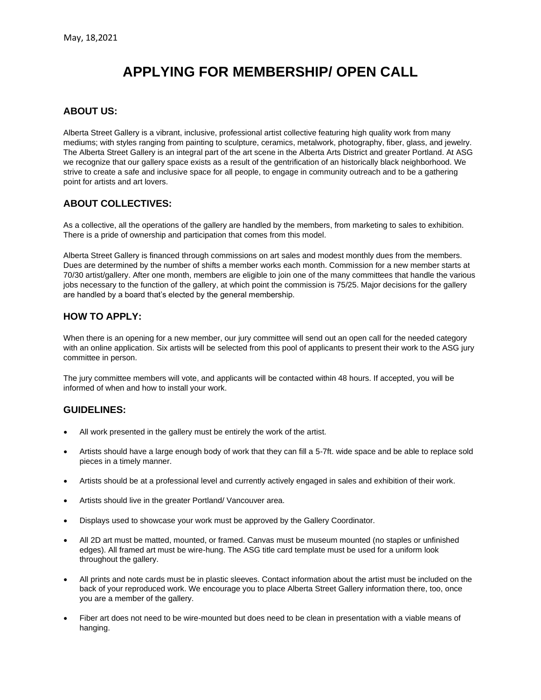# **APPLYING FOR MEMBERSHIP/ OPEN CALL**

## **ABOUT US:**

Alberta Street Gallery is a vibrant, inclusive, professional artist collective featuring high quality work from many mediums; with styles ranging from painting to sculpture, ceramics, metalwork, photography, fiber, glass, and jewelry. The Alberta Street Gallery is an integral part of the art scene in the Alberta Arts District and greater Portland. At ASG we recognize that our gallery space exists as a result of the gentrification of an historically black neighborhood. We strive to create a safe and inclusive space for all people, to engage in community outreach and to be a gathering point for artists and art lovers.

# **ABOUT COLLECTIVES:**

As a collective, all the operations of the gallery are handled by the members, from marketing to sales to exhibition. There is a pride of ownership and participation that comes from this model.

Alberta Street Gallery is financed through commissions on art sales and modest monthly dues from the members. Dues are determined by the number of shifts a member works each month. Commission for a new member starts at 70/30 artist/gallery. After one month, members are eligible to join one of the many committees that handle the various jobs necessary to the function of the gallery, at which point the commission is 75/25. Major decisions for the gallery are handled by a board that's elected by the general membership.

# **HOW TO APPLY:**

When there is an opening for a new member, our jury committee will send out an open call for the needed category with an online application. Six artists will be selected from this pool of applicants to present their work to the ASG jury committee in person.

The jury committee members will vote, and applicants will be contacted within 48 hours. If accepted, you will be informed of when and how to install your work.

#### **GUIDELINES:**

- All work presented in the gallery must be entirely the work of the artist.
- Artists should have a large enough body of work that they can fill a 5-7ft. wide space and be able to replace sold pieces in a timely manner.
- Artists should be at a professional level and currently actively engaged in sales and exhibition of their work.
- Artists should live in the greater Portland/ Vancouver area.
- Displays used to showcase your work must be approved by the Gallery Coordinator.
- All 2D art must be matted, mounted, or framed. Canvas must be museum mounted (no staples or unfinished edges). All framed art must be wire-hung. The ASG title card template must be used for a uniform look throughout the gallery.
- All prints and note cards must be in plastic sleeves. Contact information about the artist must be included on the back of your reproduced work. We encourage you to place Alberta Street Gallery information there, too, once you are a member of the gallery.
- Fiber art does not need to be wire-mounted but does need to be clean in presentation with a viable means of hanging.